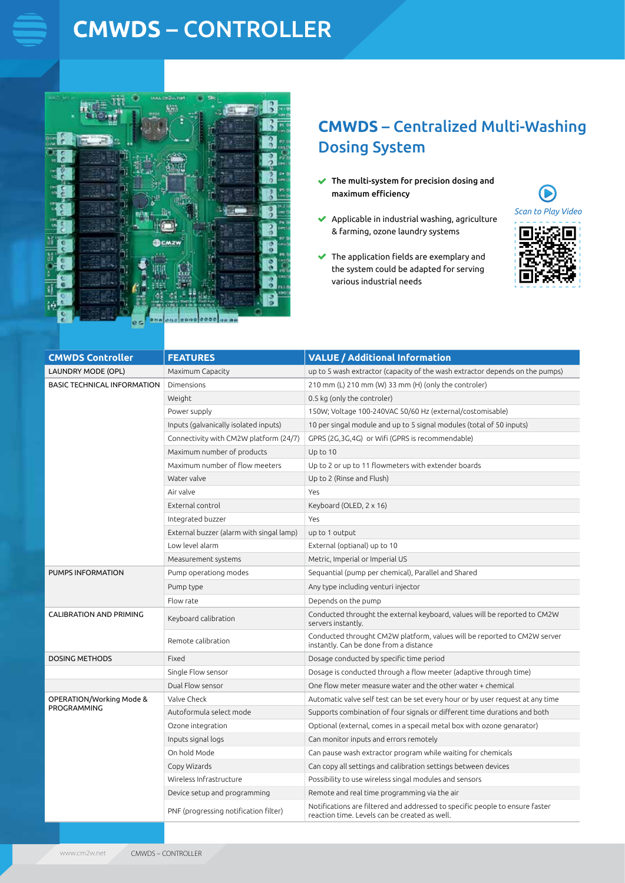# **CMWDS** – CONTROLLER



### **CMWDS** – Centralized Multi-Washing Dosing System

- $\blacktriangleright$  The multi-system for precision dosing and maximum efficiency
- $\blacktriangleright$  Applicable in industrial washing, agriculture & farming, ozone laundry systems
- $\blacktriangleright$  The application fields are exemplary and the system could be adapted for serving various industrial needs



| <b>CMWDS Controller</b>                 | <b>FEATURES</b>                          | <b>VALUE / Additional Information</b>                                                                                         |
|-----------------------------------------|------------------------------------------|-------------------------------------------------------------------------------------------------------------------------------|
| <b>LAUNDRY MODE (OPL)</b>               | Maximum Capacity                         | up to 5 wash extractor (capacity of the wash extractor depends on the pumps)                                                  |
| <b>BASIC TECHNICAL INFORMATION</b>      | Dimensions                               | 210 mm (L) 210 mm (W) 33 mm (H) (only the controler)                                                                          |
|                                         | Weight                                   | 0.5 kg (only the controler)                                                                                                   |
|                                         | Power supply                             | 150W; Voltage 100-240VAC 50/60 Hz (external/costomisable)                                                                     |
|                                         | Inputs (galvanically isolated inputs)    | 10 per singal module and up to 5 signal modules (total of 50 inputs)                                                          |
|                                         | Connectivity with CM2W platform (24/7)   | GPRS (2G,3G,4G) or Wifi (GPRS is recommendable)                                                                               |
|                                         | Maximum number of products               | Up to 10                                                                                                                      |
|                                         | Maximum number of flow meeters           | Up to 2 or up to 11 flowmeters with extender boards                                                                           |
|                                         | Water valve                              | Up to 2 (Rinse and Flush)                                                                                                     |
|                                         | Air valve                                | Yes                                                                                                                           |
|                                         | External control                         | Keyboard (OLED, 2 x 16)                                                                                                       |
|                                         | Integrated buzzer                        | Yes                                                                                                                           |
|                                         | External buzzer (alarm with singal lamp) | up to 1 output                                                                                                                |
|                                         | Low level alarm                          | External (optianal) up to 10                                                                                                  |
|                                         | Measurement systems                      | Metric, Imperial or Imperial US                                                                                               |
| PUMPS INFORMATION                       | Pump operationg modes                    | Sequantial (pump per chemical), Parallel and Shared                                                                           |
|                                         | Pump type                                | Any type including venturi injector                                                                                           |
|                                         | Flow rate                                | Depends on the pump                                                                                                           |
| <b>CALIBRATION AND PRIMING</b>          | Keyboard calibration                     | Conducted throught the external keyboard, values will be reported to CM2W<br>servers instantly.                               |
|                                         | Remote calibration                       | Conducted throught CM2W platform, values will be reported to CM2W server<br>instantly. Can be done from a distance            |
| <b>DOSING METHODS</b>                   | Fixed                                    | Dosage conducted by specific time period                                                                                      |
|                                         | Single Flow sensor                       | Dosage is conducted through a flow meeter (adaptive through time)                                                             |
|                                         | Dual Flow sensor                         | One flow meter measure water and the other water + chemical                                                                   |
| OPERATION/Working Mode &<br>PROGRAMMING | Valve Check                              | Automatic valve self test can be set every hour or by user request at any time                                                |
|                                         | Autoformula select mode                  | Supports combination of four signals or different time durations and both                                                     |
|                                         | Ozone integration                        | Optional (external, comes in a specail metal box with ozone genarator)                                                        |
|                                         | Inputs signal logs                       | Can monitor inputs and errors remotely                                                                                        |
|                                         | On hold Mode                             | Can pause wash extractor program while waiting for chemicals                                                                  |
|                                         | Copy Wizards                             | Can copy all settings and calibration settings between devices                                                                |
|                                         | Wireless Infrastructure                  | Possibility to use wireless singal modules and sensors                                                                        |
|                                         | Device setup and programming             | Remote and real time programming via the air                                                                                  |
|                                         | PNF (progressing notification filter)    | Notifications are filtered and addressed to specific people to ensure faster<br>reaction time. Levels can be created as well. |